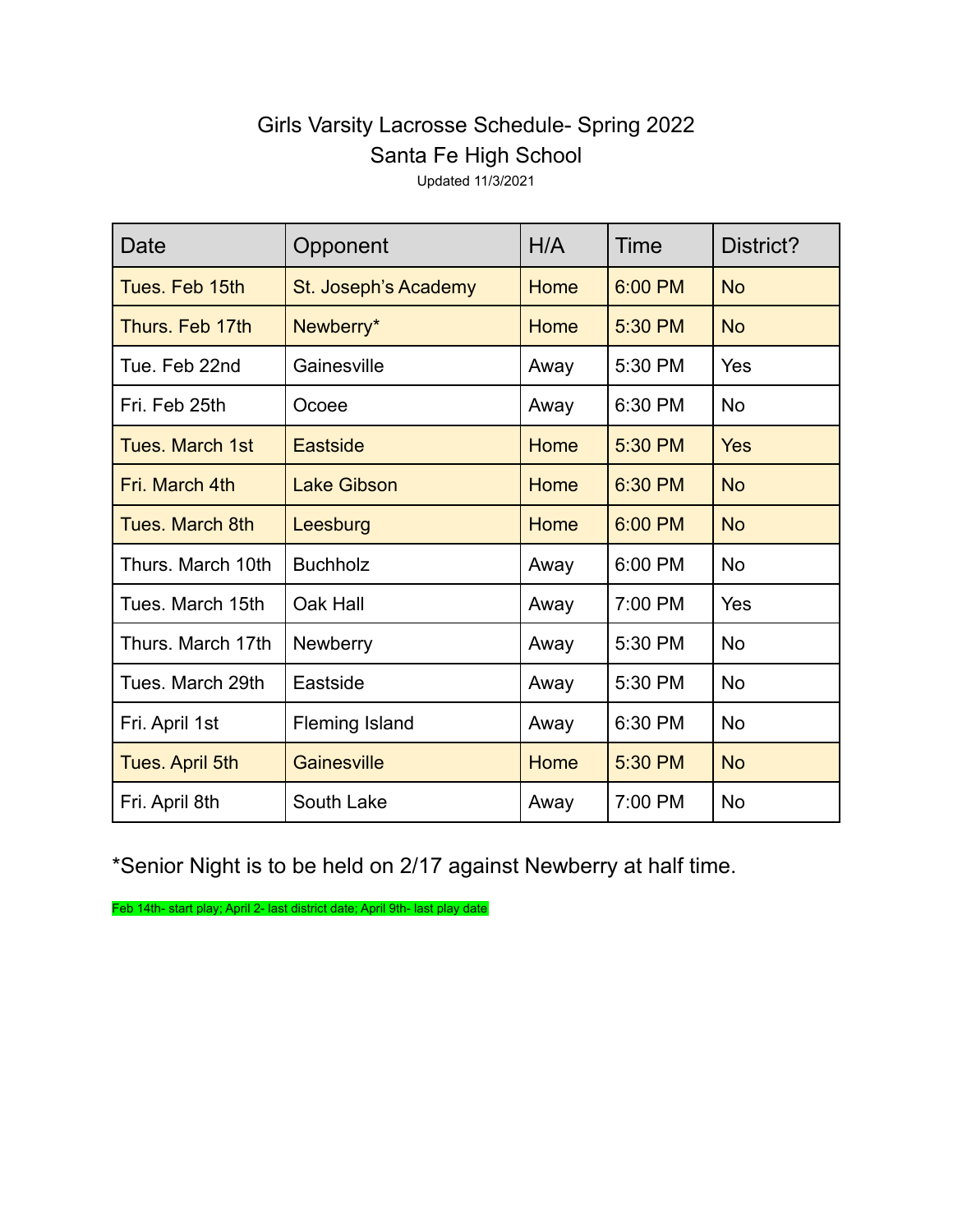## Girls Varsity Lacrosse Schedule- Spring 2022 Santa Fe High School

Updated 11/3/2021

| Date                   | Opponent              | H/A         | Time    | District?  |
|------------------------|-----------------------|-------------|---------|------------|
| Tues. Feb 15th         | St. Joseph's Academy  | Home        | 6:00 PM | <b>No</b>  |
| Thurs. Feb 17th        | Newberry*             | <b>Home</b> | 5:30 PM | <b>No</b>  |
| Tue. Feb 22nd          | Gainesville           | Away        | 5:30 PM | Yes        |
| Fri. Feb 25th          | Ocoee                 | Away        | 6:30 PM | <b>No</b>  |
| <b>Tues. March 1st</b> | Eastside              | Home        | 5:30 PM | <b>Yes</b> |
| Fri. March 4th         | <b>Lake Gibson</b>    | <b>Home</b> | 6:30 PM | <b>No</b>  |
| <b>Tues. March 8th</b> | Leesburg              | Home        | 6:00 PM | <b>No</b>  |
| Thurs. March 10th      | <b>Buchholz</b>       | Away        | 6:00 PM | <b>No</b>  |
| Tues. March 15th       | Oak Hall              | Away        | 7:00 PM | Yes        |
| Thurs. March 17th      | <b>Newberry</b>       | Away        | 5:30 PM | <b>No</b>  |
| Tues. March 29th       | Eastside              | Away        | 5:30 PM | <b>No</b>  |
| Fri. April 1st         | <b>Fleming Island</b> | Away        | 6:30 PM | <b>No</b>  |
| <b>Tues. April 5th</b> | Gainesville           | Home        | 5:30 PM | <b>No</b>  |
| Fri. April 8th         | South Lake            | Away        | 7:00 PM | <b>No</b>  |

\*Senior Night is to be held on 2/17 against Newberry at half time.

Feb 14th- start play; April 2- last district date; April 9th- last play date